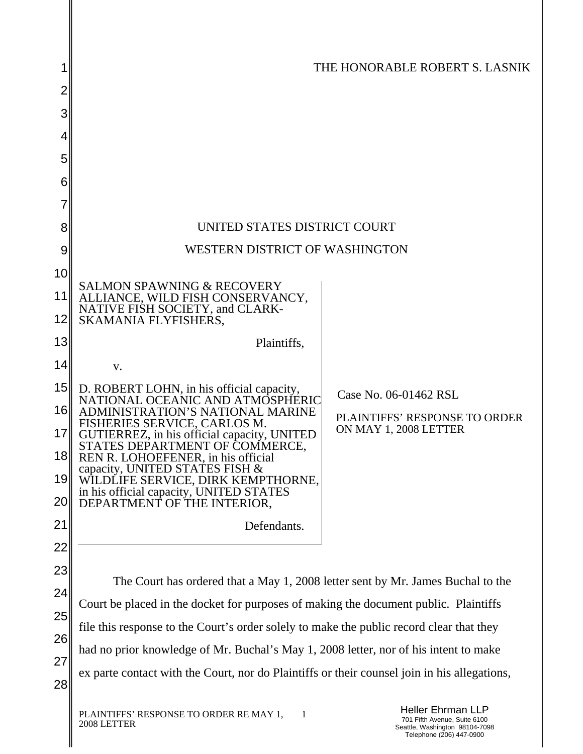|          |                                                                                                                                                                                  | THE HONORABLE ROBERT S. LASNIK                                                                                         |  |  |
|----------|----------------------------------------------------------------------------------------------------------------------------------------------------------------------------------|------------------------------------------------------------------------------------------------------------------------|--|--|
|          |                                                                                                                                                                                  |                                                                                                                        |  |  |
| 3        |                                                                                                                                                                                  |                                                                                                                        |  |  |
|          |                                                                                                                                                                                  |                                                                                                                        |  |  |
| 5        |                                                                                                                                                                                  |                                                                                                                        |  |  |
| 6        |                                                                                                                                                                                  |                                                                                                                        |  |  |
|          |                                                                                                                                                                                  |                                                                                                                        |  |  |
| 8        | UNITED STATES DISTRICT COURT                                                                                                                                                     |                                                                                                                        |  |  |
| 9        | WESTERN DISTRICT OF WASHINGTON                                                                                                                                                   |                                                                                                                        |  |  |
| 10       | <b>SALMON SPAWNING &amp; RECOVERY</b>                                                                                                                                            |                                                                                                                        |  |  |
| 11<br>12 | ALLIANCE, WILD FISH CONSERVANCY,<br>NATIVE FISH SOCIETY, and CLARK-<br>SKAMANIA FLYFISHERS,                                                                                      |                                                                                                                        |  |  |
| 13       | Plaintiffs,                                                                                                                                                                      |                                                                                                                        |  |  |
| 14       | V.                                                                                                                                                                               |                                                                                                                        |  |  |
| 15<br>16 | D. ROBERT LOHN, in his official capacity,<br>NATIONAL OCEANIC AND ATMOSPHERIC<br>ADMINISTRATION'S NATIONAL MARINE                                                                | Case No. 06-01462 RSL                                                                                                  |  |  |
| 17I      | FISHERIES SERVICE, CARLOS M.<br>GUTIERREZ, in his official capacity, UNITED<br>STATES DEPARTMENT OF COMMERCE,                                                                    | PLAINTIFFS' RESPONSE TO ORDER<br>ON MAY 1, 2008 LETTER                                                                 |  |  |
| 18<br>19 | REN R. LOHOEFENER, in his official<br>capacity, UNITED STATES FISH &<br>WÎLDLIFE SERVICE, DIRK KEMPTHORNE,                                                                       |                                                                                                                        |  |  |
| 20       | in his official capacity, UNITED STATES<br>DEPARTMENT OF THE INTERIOR,                                                                                                           |                                                                                                                        |  |  |
| 21       | Defendants.                                                                                                                                                                      |                                                                                                                        |  |  |
| 22       |                                                                                                                                                                                  |                                                                                                                        |  |  |
| 23       |                                                                                                                                                                                  |                                                                                                                        |  |  |
| 24       | The Court has ordered that a May 1, 2008 letter sent by Mr. James Buchal to the                                                                                                  |                                                                                                                        |  |  |
| 25       | Court be placed in the docket for purposes of making the document public. Plaintiffs                                                                                             |                                                                                                                        |  |  |
| 26       | file this response to the Court's order solely to make the public record clear that they<br>had no prior knowledge of Mr. Buchal's May 1, 2008 letter, nor of his intent to make |                                                                                                                        |  |  |
| 27       | ex parte contact with the Court, nor do Plaintiffs or their counsel join in his allegations,                                                                                     |                                                                                                                        |  |  |
| 28       |                                                                                                                                                                                  |                                                                                                                        |  |  |
|          | PLAINTIFFS' RESPONSE TO ORDER RE MAY 1,<br>1<br>2008 LETTER                                                                                                                      | <b>Heller Ehrman LLP</b><br>701 Fifth Avenue, Suite 6100<br>Seattle, Washington 98104-7098<br>Telephone (206) 447-0900 |  |  |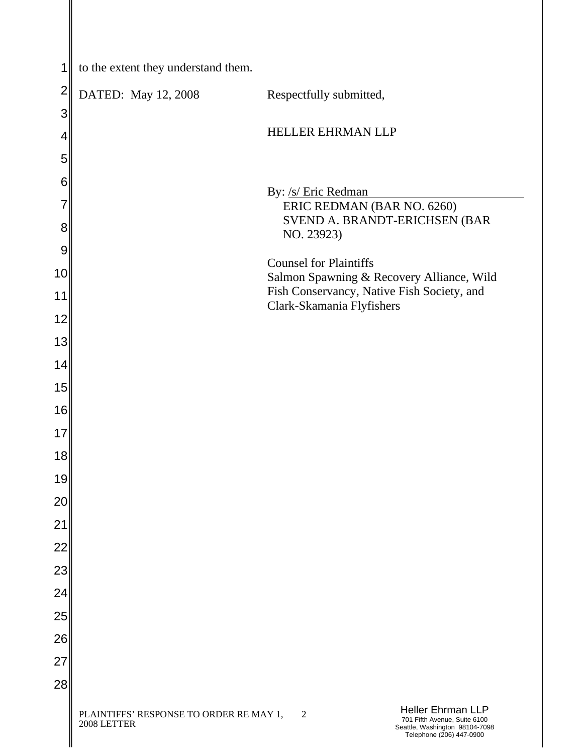| 1        | to the extent they understand them.                    |                                                                                                                                          |
|----------|--------------------------------------------------------|------------------------------------------------------------------------------------------------------------------------------------------|
| 2        | DATED: May 12, 2008                                    | Respectfully submitted,                                                                                                                  |
| 3        |                                                        |                                                                                                                                          |
| 4        |                                                        | HELLER EHRMAN LLP                                                                                                                        |
| 5        |                                                        |                                                                                                                                          |
| 6        |                                                        | By: /s/ Eric Redman                                                                                                                      |
| 7        |                                                        | ERIC REDMAN (BAR NO. 6260)                                                                                                               |
| 8        |                                                        | SVEND A. BRANDT-ERICHSEN (BAR<br>NO. 23923)                                                                                              |
| 9        |                                                        | <b>Counsel for Plaintiffs</b>                                                                                                            |
| 10       |                                                        | Salmon Spawning & Recovery Alliance, Wild<br>Fish Conservancy, Native Fish Society, and                                                  |
| 11       |                                                        | Clark-Skamania Flyfishers                                                                                                                |
| 12<br>13 |                                                        |                                                                                                                                          |
| 14       |                                                        |                                                                                                                                          |
| 15       |                                                        |                                                                                                                                          |
| 16       |                                                        |                                                                                                                                          |
| 17       |                                                        |                                                                                                                                          |
| 18       |                                                        |                                                                                                                                          |
| 19       |                                                        |                                                                                                                                          |
| 20       |                                                        |                                                                                                                                          |
| 21       |                                                        |                                                                                                                                          |
| 22       |                                                        |                                                                                                                                          |
| 23       |                                                        |                                                                                                                                          |
| 24       |                                                        |                                                                                                                                          |
| 25<br>26 |                                                        |                                                                                                                                          |
| 27       |                                                        |                                                                                                                                          |
| 28       |                                                        |                                                                                                                                          |
|          | PLAINTIFFS' RESPONSE TO ORDER RE MAY 1,<br>2008 LETTER | <b>Heller Ehrman LLP</b><br>$\mathfrak{2}$<br>701 Fifth Avenue, Suite 6100<br>Seattle, Washington 98104-7098<br>Telephone (206) 447-0900 |

I